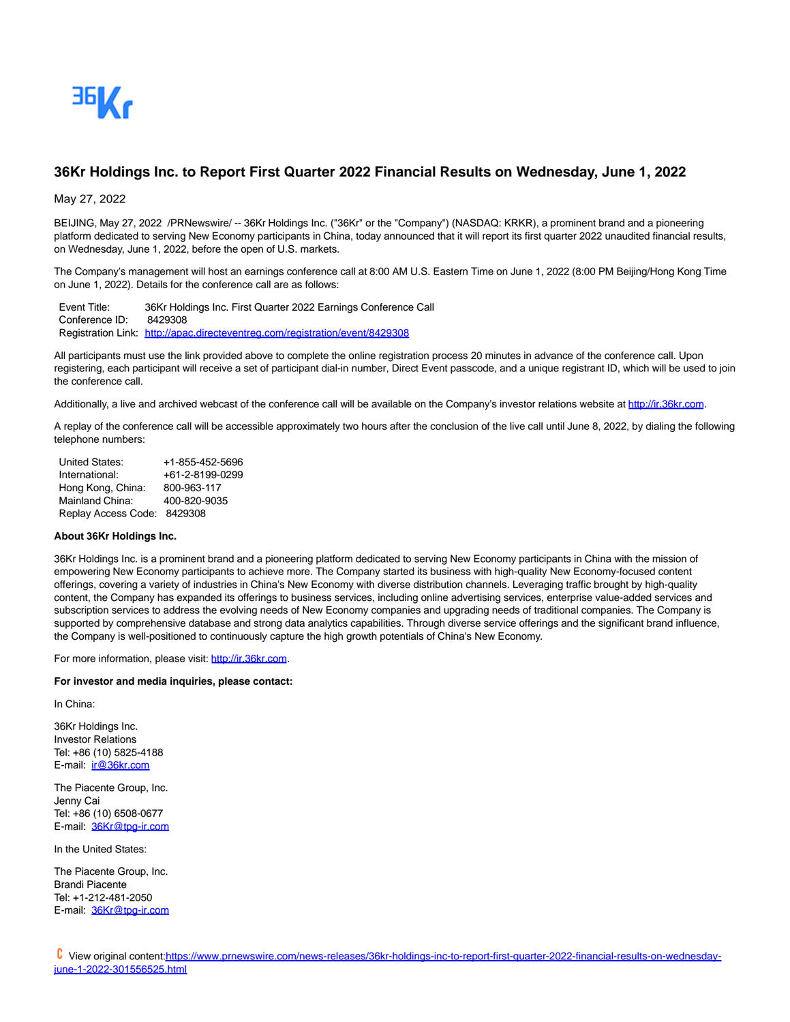

## **36Kr Holdings Inc. to Report First Quarter 2022 Financial Results on Wednesday, June 1, 2022**

## May 27, 2022

BEIJING, May 27, 2022 /PRNewswire/ -- 36Kr Holdings Inc. ("36Kr" or the "Company") (NASDAQ: KRKR), a prominent brand and a pioneering platform dedicated to serving New Economy participants in China, today announced that it will report its first quarter 2022 unaudited financial results, on Wednesday, June 1, 2022, before the open of U.S. markets.

The Company's management will host an earnings conference call at 8:00 AM U.S. Eastern Time on June 1, 2022 (8:00 PM Beijing/Hong Kong Time on June 1, 2022). Details for the conference call are as follows:

Event Title: 36Kr Holdings Inc. First Quarter 2022 Earnings Conference Call Conference ID: 8429308 Registration Link: <http://apac.directeventreg.com/registration/event/8429308>

All participants must use the link provided above to complete the online registration process 20 minutes in advance of the conference call. Upon registering, each participant will receive a set of participant dial-in number, Direct Event passcode, and a unique registrant ID, which will be used to join the conference call.

Additionally, a live and archived webcast of the conference call will be available on the Company's investor relations website at [http://ir.36kr.com.](http://ir.36kr.com/)

A replay of the conference call will be accessible approximately two hours after the conclusion of the live call until June 8, 2022, by dialing the following telephone numbers:

| <b>United States:</b>       | +1-855-452-5696 |
|-----------------------------|-----------------|
| International:              | +61-2-8199-0299 |
| Hong Kong, China:           | 800-963-117     |
| Mainland China:             | 400-820-9035    |
| Replay Access Code: 8429308 |                 |

## **About 36Kr Holdings Inc.**

36Kr Holdings Inc. is a prominent brand and a pioneering platform dedicated to serving New Economy participants in China with the mission of empowering New Economy participants to achieve more. The Company started its business with high-quality New Economy-focused content offerings, covering a variety of industries in China's New Economy with diverse distribution channels. Leveraging traffic brought by high-quality content, the Company has expanded its offerings to business services, including online advertising services, enterprise value-added services and subscription services to address the evolving needs of New Economy companies and upgrading needs of traditional companies. The Company is supported by comprehensive database and strong data analytics capabilities. Through diverse service offerings and the significant brand influence, the Company is well-positioned to continuously capture the high growth potentials of China's New Economy.

For more information, please visit: [http://ir.36kr.com.](http://ir.36kr.com/)

## **For investor and media inquiries, please contact:**

In China:

36Kr Holdings Inc. Investor Relations Tel: +86 (10) 5825-4188 E-mail: [ir@36kr.com](mailto:ir@36kr.com)

The Piacente Group, Inc. Jenny Cai Tel: +86 (10) 6508-0677 E-mail: [36Kr@tpg-ir.com](mailto:36Kr@tpg-ir.com)

In the United States:

The Piacente Group, Inc. Brandi Piacente Tel: +1-212-481-2050 E-mail: [36Kr@tpg-ir.com](mailto:36Kr@tpg-ir.com)